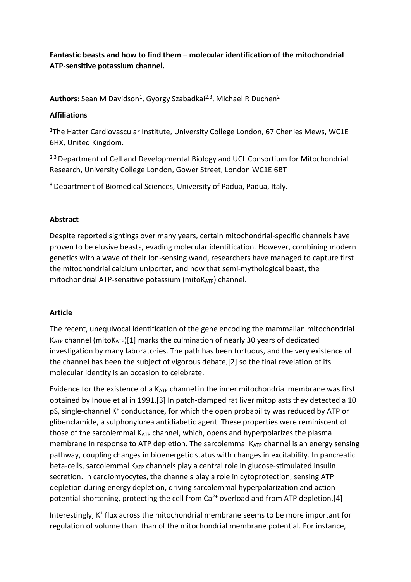**Fantastic beasts and how to find them – molecular identification of the mitochondrial ATP-sensitive potassium channel.**

Authors: Sean M Davidson<sup>1</sup>, Gyorgy Szabadkai<sup>2,3</sup>, Michael R Duchen<sup>2</sup>

## **Affiliations**

<sup>1</sup>The Hatter Cardiovascular Institute, University College London, 67 Chenies Mews, WC1E 6HX, United Kingdom.

<sup>2,3</sup> Department of Cell and Developmental Biology and UCL Consortium for Mitochondrial Research, University College London, Gower Street, London WC1E 6BT

<sup>3</sup> Department of Biomedical Sciences, University of Padua, Padua, Italy.

## **Abstract**

Despite reported sightings over many years, certain mitochondrial-specific channels have proven to be elusive beasts, evading molecular identification. However, combining modern genetics with a wave of their ion-sensing wand, researchers have managed to capture first the mitochondrial calcium uniporter, and now that semi-mythological beast, the mitochondrial ATP-sensitive potassium ( $mito$ K<sub>ATP</sub>) channel.

## **Article**

The recent, unequivocal identification of the gene encoding the mammalian mitochondrial  $K_{ATP}$  channel (mito $K_{ATP}$ )[1] marks the culmination of nearly 30 years of dedicated investigation by many laboratories. The path has been tortuous, and the very existence of the channel has been the subject of vigorous debate,[2] so the final revelation of its molecular identity is an occasion to celebrate.

Evidence for the existence of a  $K_{ATP}$  channel in the inner mitochondrial membrane was first obtained by Inoue et al in 1991.[3] In patch-clamped rat liver mitoplasts they detected a 10 pS, single-channel K<sup>+</sup> conductance, for which the open probability was reduced by ATP or glibenclamide, a sulphonylurea antidiabetic agent. These properties were reminiscent of those of the sarcolemmal KATP channel, which, opens and hyperpolarizes the plasma membrane in response to ATP depletion. The sarcolemmal  $K_{ATP}$  channel is an energy sensing pathway, coupling changes in bioenergetic status with changes in excitability. In pancreatic beta-cells, sarcolemmal KATP channels play a central role in glucose-stimulated insulin secretion. In cardiomyocytes, the channels play a role in cytoprotection, sensing ATP depletion during energy depletion, driving sarcolemmal hyperpolarization and action potential shortening, protecting the cell from  $Ca^{2+}$  overload and from ATP depletion.[4]

Interestingly, K<sup>+</sup> flux across the mitochondrial membrane seems to be more important for regulation of volume than than of the mitochondrial membrane potential. For instance,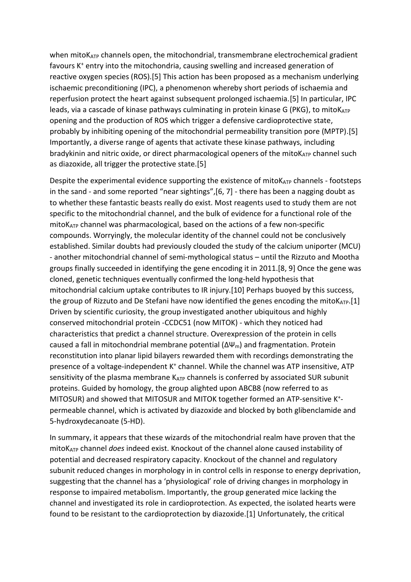when mito $K_{ATP}$  channels open, the mitochondrial, transmembrane electrochemical gradient favours K<sup>+</sup> entry into the mitochondria, causing swelling and increased generation of reactive oxygen species (ROS).[5] This action has been proposed as a mechanism underlying ischaemic preconditioning (IPC), a phenomenon whereby short periods of ischaemia and reperfusion protect the heart against subsequent prolonged ischaemia.[5] In particular, IPC leads, via a cascade of kinase pathways culminating in protein kinase G (PKG), to mitoK<sub>ATP</sub> opening and the production of ROS which trigger a defensive cardioprotective state, probably by inhibiting opening of the mitochondrial permeability transition pore (MPTP).[5] Importantly, a diverse range of agents that activate these kinase pathways, including bradykinin and nitric oxide, or direct pharmacological openers of the mito $K_{ATP}$  channel such as diazoxide, all trigger the protective state.[5]

Despite the experimental evidence supporting the existence of mitoK<sub>ATP</sub> channels - footsteps in the sand - and some reported "near sightings",[6, 7] - there has been a nagging doubt as to whether these fantastic beasts really do exist. Most reagents used to study them are not specific to the mitochondrial channel, and the bulk of evidence for a functional role of the mitoKATP channel was pharmacological, based on the actions of a few non-specific compounds. Worryingly, the molecular identity of the channel could not be conclusively established. Similar doubts had previously clouded the study of the calcium uniporter (MCU) - another mitochondrial channel of semi-mythological status – until the Rizzuto and Mootha groups finally succeeded in identifying the gene encoding it in 2011.[8, 9] Once the gene was cloned, genetic techniques eventually confirmed the long-held hypothesis that mitochondrial calcium uptake contributes to IR injury.[10] Perhaps buoyed by this success, the group of Rizzuto and De Stefani have now identified the genes encoding the mitoKATP.[1] Driven by scientific curiosity, the group investigated another ubiquitous and highly conserved mitochondrial protein -CCDC51 (now MITOK) - which they noticed had characteristics that predict a channel structure. Overexpression of the protein in cells caused a fall in mitochondrial membrane potential (ΔΨm) and fragmentation. Protein reconstitution into planar lipid bilayers rewarded them with recordings demonstrating the presence of a voltage-independent K<sup>+</sup> channel. While the channel was ATP insensitive, ATP sensitivity of the plasma membrane  $K_{ATP}$  channels is conferred by associated SUR subunit proteins. Guided by homology, the group alighted upon ABCB8 (now referred to as MITOSUR) and showed that MITOSUR and MITOK together formed an ATP-sensitive K + permeable channel, which is activated by diazoxide and blocked by both glibenclamide and 5-hydroxydecanoate (5-HD).

In summary, it appears that these wizards of the mitochondrial realm have proven that the mitoKATP channel *does* indeed exist. Knockout of the channel alone caused instability of potential and decreased respiratory capacity. Knockout of the channel and regulatory subunit reduced changes in morphology in in control cells in response to energy deprivation, suggesting that the channel has a 'physiological' role of driving changes in morphology in response to impaired metabolism. Importantly, the group generated mice lacking the channel and investigated its role in cardioprotection. As expected, the isolated hearts were found to be resistant to the cardioprotection by diazoxide.[1] Unfortunately, the critical